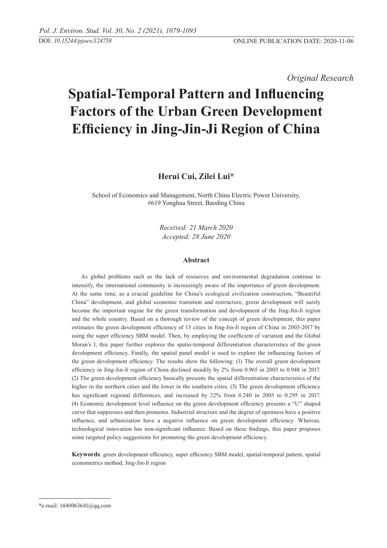*Original Research* 

# **Spatial-Temporal Pattern and Influencing Factors of the Urban Green Development Efficiency in Jing-Jin-Ji Region of China**

**Herui Cui, Zilei Lui\***

School of Economics and Management, North China Electric Power University, #619 Yonghua Street, Baoding China

> *Received: 21 March 2020 Accepted: 28 June 2020*

## **Abstract**

As global problems such as the lack of resources and environmental degradation continue to intensify, the international community is increasingly aware of the importance of green development. At the same time, as a crucial guideline for China's ecological civilization construction, "Beautiful China" development, and global economic transition and restructure, green development will surely become the important engine for the green transformation and development of the Jing-Jin-Ji region and the whole country. Based on a thorough review of the concept of green development, this paper estimates the green development efficiency of 13 cities in Jing-Jin-Ji region of China in 2003-2017 by using the super efficiency SBM model. Then, by employing the coefficient of variation and the Global Moran's I, this paper further explores the spatio-temporal differentiation characteristics of the green development efficiency. Finally, the spatial panel model is used to explore the influencing factors of the green development efficiency. The results show the following: (1) The overall green development efficiency in Jing-Jin-Ji region of China declined steadily by 2% from 0.965 in 2003 to 0.948 in 2017. (2) The green development efficiency basically presents the spatial differentiation characteristics of the higher in the northern cities and the lower in the southern cities. (3) The green development efficiency has significant regional differences, and increased by 22% from 0.240 in 2003 to 0.295 in 2017. (4) Economic development level influence on the green development efficiency presents a "U" shaped curve that suppresses and then promotes. Industrial structure and the degree of openness have a positive influence, and urbanization have a negative influence on green development efficiency. Whereas, technological innovation has non-significant influence. Based on these findings, this paper proposes some targeted policy suggestions for promoting the green development efficiency.

**Keywords**: green development efficiency, super efficiency SBM model, spatial-temporal pattern, spatial econometrics method, Jing-Jin-Ji region

<sup>\*</sup>e-mail: 1440063641@qq.com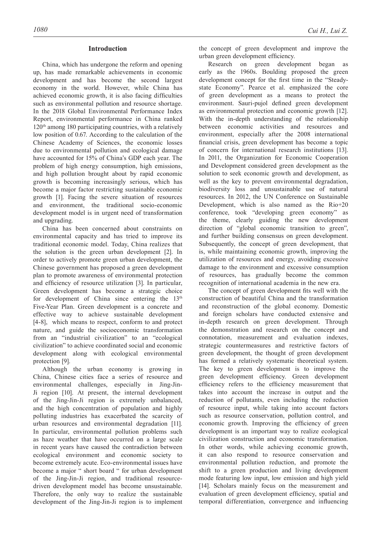## **Introduction**

China, which has undergone the reform and opening up, has made remarkable achievements in economic development and has become the second largest economy in the world. However, while China has achieved economic growth, it is also facing difficulties such as environmental pollution and resource shortage. In the 2018 Global Environmental Performance Index Report, environmental performance in China ranked 120<sup>th</sup> among 180 participating countries, with a relatively low position of 0.67. According to the calculation of the Chinese Academy of Sciences, the economic losses due to environmental pollution and ecological damage have accounted for 15% of China's GDP each year. The problem of high energy consumption, high emissions, and high pollution brought about by rapid economic growth is becoming increasingly serious, which has become a major factor restricting sustainable economic growth [1]. Facing the severe situation of resources and environment, the traditional socio-economic development model is in urgent need of transformation and upgrading.

China has been concerned about constraints on environmental capacity and has tried to improve its traditional economic model. Today, China realizes that the solution is the green urban development [2]. In order to actively promote green urban development, the Chinese government has proposed a green development plan to promote awareness of environmental protection and efficiency of resource utilization [3]. In particular, Green development has become a strategic choice for development of China since entering the 13<sup>th</sup> Five-Year Plan. Green development is a concrete and effective way to achieve sustainable development [4-8], which means to respect, conform to and protect nature, and guide the socioeconomic transformation from an "industrial civilization" to an "ecological civilization" to achieve coordinated social and economic development along with ecological environmental protection [9].

Although the urban economy is growing in China, Chinese cities face a series of resource and environmental challenges, especially in Jing-Jin-Ji region [10]. At present, the internal development of the Jing-Jin-Ji region is extremely unbalanced, and the high concentration of population and highly polluting industries has exacerbated the scarcity of urban resources and environmental degradation [11]. In particular, environmental pollution problems such as haze weather that have occurred on a large scale in recent years have caused the contradiction between ecological environment and economic society to become extremely acute. Eco-environmental issues have become a major " short board " for urban development of the Jing-Jin-Ji region, and traditional resourcedriven development model has become unsustainable. Therefore, the only way to realize the sustainable development of the Jing-Jin-Ji region is to implement the concept of green development and improve the urban green development efficiency.

Research on green development began as early as the 1960s. Boulding proposed the green development concept for the first time in the "Steadystate Economy". Pearce et al. emphasized the core of green development as a means to protect the environment. Sauri-pujol defined green development as environmental protection and economic growth [12]. With the in-depth understanding of the relationship between economic activities and resources and environment, especially after the 2008 international financial crisis, green development has become a topic of concern for international research institutions [13]. In 2011, the Organization for Economic Cooperation and Development considered green development as the solution to seek economic growth and development, as well as the key to prevent environmental degradation, biodiversity loss and unsustainable use of natural resources. In 2012, the UN Conference on Sustainable Development, which is also named as the Rio+20 conference, took "developing green economy" as the theme, clearly guiding the new development direction of "global economic transition to green", and further building consensus on green development. Subsequently, the concept of green development, that is, while maintaining economic growth, improving the utilization of resources and energy, avoiding excessive damage to the environment and excessive consumption of resources, has gradually become the common recognition of international academia in the new era.

The concept of green development fits well with the construction of beautiful China and the transformation and reconstruction of the global economy. Domestic and foreign scholars have conducted extensive and in-depth research on green development. Through the demonstration and research on the concept and connotation, measurement and evaluation indexes, strategic countermeasures and restrictive factors of green development, the thought of green development has formed a relatively systematic theoretical system. The key to green development is to improve the green development efficiency. Green development efficiency refers to the efficiency measurement that takes into account the increase in output and the reduction of pollutants, even including the reduction of resource input, while taking into account factors such as resource conservation, pollution control, and economic growth. Improving the efficiency of green development is an important way to realize ecological civilization construction and economic transformation. In other words, while achieving economic growth, it can also respond to resource conservation and environmental pollution reduction, and promote the shift to a green production and living development mode featuring low input, low emission and high yield [14]. Scholars mainly focus on the measurement and evaluation of green development efficiency, spatial and temporal differentiation, convergence and influencing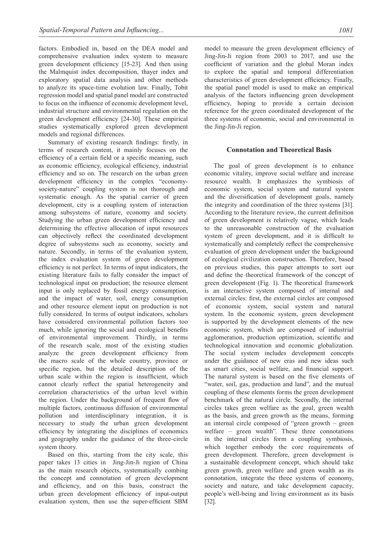factors. Embodied in, based on the DEA model and comprehensive evaluation index system to measure green development efficiency [15-23]. And then using the Malmquist index decomposition, thayer index and exploratory spatial data analysis and other methods to analyze its space-time evolution law. Finally, Tobit regression model and spatial panel model are constructed to focus on the influence of economic development level, industrial structure and environmental regulation on the green development efficiency [24-30]. These empirical studies systematically explored green development models and regional differences.

Summary of existing research findings: firstly, in terms of research content, it mainly focuses on the efficiency of a certain field or a specific meaning, such as economic efficiency, ecological efficiency, industrial efficiency and so on. The research on the urban green development efficiency in the complex "economysociety-nature" coupling system is not thorough and systematic enough. As the spatial carrier of green development, city is a coupling system of interaction among subsystems of nature, economy and society. Studying the urban green development efficiency and determining the effective allocation of input resources can objectively reflect the coordinated development degree of subsystems such as economy, society and nature. Secondly, in terms of the evaluation system, the index evaluation system of green development efficiency is not perfect. In terms of input indicators, the existing literature fails to fully consider the impact of technological input on production; the resource element input is only replaced by fossil energy consumption, and the impact of water, soil, energy consumption and other resource element input on production is not fully considered. In terms of output indicators, scholars have considered environmental pollution factors too much, while ignoring the social and ecological benefits of environmental improvement. Thirdly, in terms of the research scale, most of the existing studies analyze the green development efficiency from the macro scale of the whole country, province or specific region, but the detailed description of the urban scale within the region is insufficient, which cannot clearly reflect the spatial heterogeneity and correlation characteristics of the urban level within the region. Under the background of frequent flow of multiple factors, continuous diffusion of environmental pollution and interdisciplinary integration, it is necessary to study the urban green development efficiency by integrating the disciplines of economics and geography under the guidance of the three-circle system theory.

Based on this, starting from the city scale, this paper takes 13 cities in Jing-Jin-Ji region of China as the main research objects, systematically combing the concept and connotation of green development and efficiency, and on this basis, construct the urban green development efficiency of input-output evaluation system, then use the super-efficient SBM model to measure the green development efficiency of Jing-Jin-Ji region from 2003 to 2017, and use the coefficient of variation and the global Moran index to explore the spatial and temporal differentiation characteristics of green development efficiency. Finally, the spatial panel model is used to make an empirical analysis of the factors influencing green development efficiency, hoping to provide a certain decision reference for the green coordinated development of the three systems of economic, social and environmental in the Jing-Jin-Ji region.

# **Connotation and theoretical basis**

The goal of green development is to enhance economic vitality, improve social welfare and increase resource wealth. It emphasizes the symbiosis of economic system, social system and natural system and the diversification of development goals, namely the integrity and coordination of the three systems [31]. According to the literature review, the current definition of green development is relatively vague, which leads to the unreasonable construction of the evaluation system of green development, and it is difficult to systematically and completely reflect the comprehensive evaluation of green development under the background of ecological civilization construction. Therefore, based on previous studies, this paper attempts to sort out and define the theoretical framework of the concept of green development (Fig. 1). The theoretical framework is an interactive system composed of internal and external circles: first, the external circles are composed of economic system, social system and natural system. In the economic system, green development is supported by the development elements of the new economic system, which are composed of industrial agglomeration, production optimization, scientific and technological innovation and economic globalization. The social system includes development concepts under the guidance of new eras and new ideas such as smart cities, social welfare, and financial support. The natural system is based on the five elements of "water, soil, gas, production and land", and the mutual coupling of these elements forms the green development benchmark of the natural circle. Secondly, the internal circles takes green welfare as the goal, green wealth as the basis, and green growth as the means, forming an internal circle composed of "green growth – green welfare – green wealth". These three connotations in the internal circles form a coupling symbiosis, which together embody the core requirements of green development. Therefore, green development is a sustainable development concept, which should take green growth, green welfare and green wealth as its connotation, integrate the three systems of economy, society and nature, and take development capacity, people's well-being and living environment as its basis [32].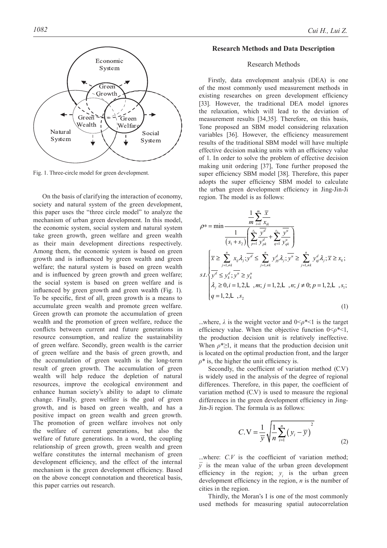

Fig. 1. Three-circle model for green development.

On the basis of clarifying the interaction of economy, society and natural system of the green development, this paper uses the "three circle model" to analyze the mechanism of urban green development. In this model, the economic system, social system and natural system take green growth, green welfare and green wealth as their main development directions respectively. Among them, the economic system is based on green growth and is influenced by green wealth and green welfare; the natural system is based on green wealth and is influenced by green growth and green welfare; the social system is based on green welfare and is influenced by green growth and green wealth (Fig. 1). To be specific, first of all, green growth is a means to accumulate green wealth and promote green welfare. Green growth can promote the accumulation of green wealth and the promotion of green welfare, reduce the conflicts between current and future generations in resource consumption, and realize the sustainability of green welfare. Secondly, green wealth is the carrier of green welfare and the basis of green growth, and the accumulation of green wealth is the long-term result of green growth. The accumulation of green wealth will help reduce the depletion of natural resources, improve the ecological environment and enhance human society's ability to adapt to climate change. Finally, green welfare is the goal of green growth, and is based on green wealth, and has a positive impact on green wealth and green growth. The promotion of green welfare involves not only the welfare of current generations, but also the welfare of future generations. In a word, the coupling relationship of green growth, green wealth and green welfare constitutes the internal mechanism of green development efficiency, and the effect of the internal mechanism is the green development efficiency. Based on the above concept connotation and theoretical basis, this paper carries out research.

## **Research Methods and Data Description**

## Research methods

Firstly, data envelopment analysis (DEA) is one of the most commonly used measurement methods in existing researches on green development efficiency [33]. However, the traditional DEA model ignores the relaxation, which will lead to the deviation of measurement results [34,35]. Therefore, on this basis, Tone proposed an SBM model considering relaxation variables [36]. However, the efficiency measurement results of the traditional SBM model will have multiple effective decision making units with an efficiency value of 1. In order to solve the problem of effective decision making unit ordering [37], Tone further proposed the super efficiency SBM model [38]. Therefore, this paper adopts the super efficiency SBM model to calculate the urban green development efficiency in Jing-Jin-Ji region. The model is as follows:

$$
\rho^* = \min \frac{\frac{1}{m} \sum_{i=1}^m \frac{\overline{x}}{x_k}}{\frac{1}{(s_1 + s_2)} \left( \sum_{p=1}^s \frac{y^d}{y_{pk}^d} + \sum_{q=1}^s \frac{y^u}{y_{qk}^u} \right)}
$$
\n
$$
s.t. \begin{cases} \overline{x} \ge \sum_{j=1, \neq k}^n x_{ij} \lambda_j; \overline{y^d} \le \sum_{j=1, \neq k}^n y_{pj}^d \lambda_j; \overline{y^u} \ge \sum_{j=1, \neq k}^n y_{qj}^d \lambda_j; \overline{x} \ge x_k; \\ \lambda_j \ge 0, i = 1, 2, \mathsf{L}, m; j = 1, 2, \mathsf{L}, n; j \neq 0; p = 1, 2, \mathsf{L}, s_1; \\ q = 1, 2, \mathsf{L}, s_2 \end{cases}
$$
\n(1)

...where,  $\lambda$  is the weight vector and  $0 \leq \rho^* < 1$  is the target efficiency value. When the objective function 0<*ρ\*<*1, the production decision unit is relatively ineffective. When  $\rho^* \geq 1$ , it means that the production decision unit is located on the optimal production front, and the larger *ρ\** is, the higher the unit efficiency is.

Secondly, the coefficient of variation method (C.V) is widely used in the analysis of the degree of regional differences. Therefore, in this paper, the coefficient of variation method (C.V) is used to measure the regional differences in the green development efficiency in Jing-Jin-Ji region. The formula is as follows:

$$
C.V = \frac{1}{\bar{y}} \sqrt{\frac{1}{n} \sum_{i=1}^{n} (y_i - \bar{y})^2}
$$
 (2)

...where: *C.V* is the coefficient of variation method;  $\overline{y}$  is the mean value of the urban green development efficiency in the region;  $y_i$  is the urban green development efficiency in the region, *n* is the number of cities in the region.

Thirdly, the Moran's I is one of the most commonly used methods for measuring spatial autocorrelation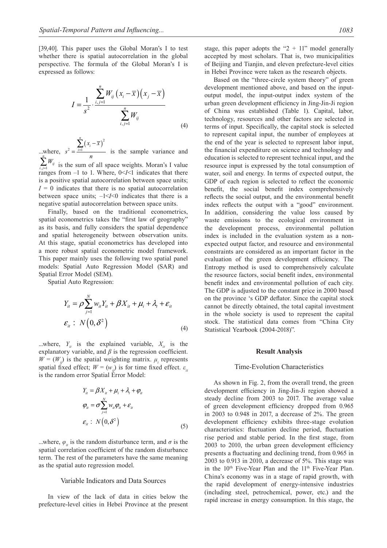[39,40]. This paper uses the Global Moran's I to test whether there is spatial autocorrelation in the global perspective. The formula of the Global Moran's I is expressed as follows:

$$
I = \frac{1}{s^2} \cdot \frac{\sum_{i,j=1}^{n} W_{ij} (x_i - \overline{x}) (x_j - \overline{x})}{\sum_{i,j=1}^{n} W_{ij}}
$$
(4)

...where,  $(x_i - \overline{x})^2$  $2 - i=1$ *n*  $\sum_{i=1}$ <sup>( $\lambda_i$ </sup>  $x_i - \overline{x}$  $s^2 = \frac{i=1}{n}$ − = ∑ is the sample variance and  $,j=1$ *n* ∠*i i j W*  $\sum_{i,j=1}^{N} W_{ij}$  is the sum of all space weights. Moran's I value ranges from  $-1$  to 1. Where,  $0 < I < 1$  indicates that there is a positive spatial autocorrelation between space units;  $I = 0$  indicates that there is no spatial autocorrelation between space units;  $-1 < I < 0$  indicates that there is a negative spatial autocorrelation between space units.

Finally, based on the traditional econometrics, spatial econometrics takes the "first law of geography" as its basis, and fully considers the spatial dependence and spatial heterogeneity between observation units. At this stage, spatial econometrics has developed into a more robust spatial econometric model framework. This paper mainly uses the following two spatial panel models: Spatial Auto Regression Model (SAR) and Spatial Error Model (SEM).

Spatial Auto Regression:

$$
Y_{it} = \rho \sum_{j=1}^{N} w_{it} Y_{it} + \beta X_{it} + \mu_i + \lambda_i + \varepsilon_{it}
$$
  

$$
\varepsilon_{it} : N(0, \delta^2)
$$
 (4)

...where,  $Y_i$  is the explained variable,  $X_i$  is the explanatory variable, and  $\beta$  is the regression coefficient.  $W = (W_{ij})$  is the spatial weighting matrix.  $\mu_i$  represents spatial fixed effect;  $W = (w_i)$  is for time fixed effect.  $\varepsilon_i$ is the random error Spatial Error Model:

$$
Y_{it} = \beta X_{it} + \mu_i + \lambda_i + \varphi_{it}
$$
  
\n
$$
\varphi_{it} = \sigma \sum_{j=1}^{N} w_{it} \varphi_{it} + \varepsilon_{it}
$$
  
\n
$$
\varepsilon_{it} : N(0, \delta^2)
$$
 (5)

...where,  $\varphi_i$  is the random disturbance term, and  $\sigma$  is the spatial correlation coefficient of the random disturbance term. The rest of the parameters have the same meaning as the spatial auto regression model.

#### Variable Indicators and Data Sources

In view of the lack of data in cities below the prefecture-level cities in Hebei Province at the present stage, this paper adopts the " $2 + 11$ " model generally accepted by most scholars. That is, two municipalities of Beijing and Tianjin, and eleven prefecture-level cities in Hebei Province were taken as the research objects.

Based on the "three-circle system theory" of green development mentioned above, and based on the inputoutput model, the input-output index system of the urban green development efficiency in Jing-Jin-Ji region of China was established (Table 1). Capital, labor, technology, resources and other factors are selected in terms of input. Specifically, the capital stock is selected to represent capital input, the number of employees at the end of the year is selected to represent labor input, the financial expenditure on science and technology and education is selected to represent technical input, and the resource input is expressed by the total consumption of water, soil and energy. In terms of expected output, the GDP of each region is selected to reflect the economic benefit, the social benefit index comprehensively reflects the social output, and the environmental benefit index reflects the output with a "good" environment. In addition, considering the value loss caused by waste emissions to the ecological environment in the development process, environmental pollution index is included in the evaluation system as a nonexpected output factor, and resource and environmental constraints are considered as an important factor in the evaluation of the green development efficiency. The Entropy method is used to comprehensively calculate the resource factors, social benefit index, environmental benefit index and environmental pollution of each city. The GDP is adjusted to the constant price in 2000 based on the province 's GDP deflator. Since the capital stock cannot be directly obtained, the total capital investment in the whole society is used to represent the capital stock. The statistical data comes from "China City Statistical Yearbook (2004-2018)".

#### **Result analysis**

#### Time-Evolution Characteristics

As shown in Fig. 2, from the overall trend, the green development efficiency in Jing-Jin-Ji region showed a steady decline from 2003 to 2017. The average value of green development efficiency dropped from 0.965 in 2003 to 0.948 in 2017, a decrease of 2%. The green development efficiency exhibits three-stage evolution characteristics: fluctuation decline period, fluctuation rise period and stable period. In the first stage, from 2003 to 2010, the urban green development efficiency presents a fluctuating and declining trend, from 0.965 in 2003 to 0.913 in 2010, a decrease of 5%. This stage was in the 10<sup>th</sup> Five-Year Plan and the 11<sup>th</sup> Five-Year Plan. China's economy was in a stage of rapid growth, with the rapid development of energy-intensive industries (including steel, petrochemical, power, etc.) and the rapid increase in energy consumption. In this stage, the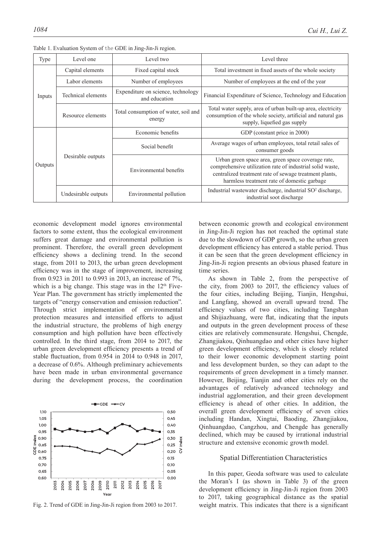| Type    | Level one           | Level two                                           | Level three                                                                                                                                                                                                              |  |  |
|---------|---------------------|-----------------------------------------------------|--------------------------------------------------------------------------------------------------------------------------------------------------------------------------------------------------------------------------|--|--|
| Inputs  | Capital elements    | Fixed capital stock                                 | Total investment in fixed assets of the whole society                                                                                                                                                                    |  |  |
|         | Labor elements      | Number of employees                                 | Number of employees at the end of the year                                                                                                                                                                               |  |  |
|         | Technical elements  | Expenditure on science, technology<br>and education | Financial Expenditure of Science, Technology and Education                                                                                                                                                               |  |  |
|         | Resource elements   | Total consumption of water, soil and<br>energy      | Total water supply, area of urban built-up area, electricity<br>consumption of the whole society, artificial and natural gas<br>supply, liquefied gas supply                                                             |  |  |
| Outputs | Desirable outputs   | Economic benefits                                   | GDP (constant price in 2000)                                                                                                                                                                                             |  |  |
|         |                     | Social benefit                                      | Average wages of urban employees, total retail sales of<br>consumer goods                                                                                                                                                |  |  |
|         |                     | Environmental benefits                              | Urban green space area, green space coverage rate,<br>comprehensive utilization rate of industrial solid waste,<br>centralized treatment rate of sewage treatment plants,<br>harmless treatment rate of domestic garbage |  |  |
|         | Undesirable outputs | Environmental pollution                             | Industrial wastewater discharge, industrial SO <sup>2</sup> discharge,<br>industrial soot discharge                                                                                                                      |  |  |

Table 1. Evaluation System of the GDE in Jing-Jin-Ji region.

economic development model ignores environmental factors to some extent, thus the ecological environment suffers great damage and environmental pollution is prominent. Therefore, the overall green development efficiency shows a declining trend. In the second stage, from 2011 to 2013, the urban green development efficiency was in the stage of improvement, increasing from 0.923 in 2011 to 0.993 in 2013, an increase of 7%, which is a big change. This stage was in the  $12<sup>th</sup>$  Five-Year Plan. The government has strictly implemented the targets of "energy conservation and emission reduction". Through strict implementation of environmental protection measures and intensified efforts to adjust the industrial structure, the problems of high energy consumption and high pollution have been effectively controlled. In the third stage, from 2014 to 2017, the urban green development efficiency presents a trend of stable fluctuation, from 0.954 in 2014 to 0.948 in 2017, a decrease of 0.6%. Although preliminary achievements have been made in urban environmental governance during the development process, the coordination



Fig. 2. Trend of GDE in Jing-Jin-Ji region from 2003 to 2017.

between economic growth and ecological environment in Jing-Jin-Ji region has not reached the optimal state due to the slowdown of GDP growth, so the urban green development efficiency has entered a stable period. Thus it can be seen that the green development efficiency in Jing-Jin-Ji region presents an obvious phased feature in time series.

As shown in Table 2, from the perspective of the city, from 2003 to 2017, the efficiency values of the four cities, including Beijing, Tianjin, Hengshui, and Langfang, showed an overall upward trend. The efficiency values of two cities, including Tangshan and Shijiazhuang, were flat, indicating that the inputs and outputs in the green development process of these cities are relatively commensurate. Hengshui, Chengde, Zhangjiakou, Qinhuangdao and other cities have higher green development efficiency, which is closely related to their lower economic development starting point and less development burden, so they can adapt to the requirements of green development in a timely manner. However, Beijing, Tianjin and other cities rely on the advantages of relatively advanced technology and industrial agglomeration, and their green development efficiency is ahead of other cities. In addition, the overall green development efficiency of seven cities including Handan, Xingtai, Baoding, Zhangjiakou, Qinhuangdao, Cangzhou, and Chengde has generally declined, which may be caused by irrational industrial structure and extensive economic growth model.

#### Spatial Differentiation Characteristics

In this paper, Geoda software was used to calculate the Moran's I (as shown in Table 3) of the green development efficiency in Jing-Jin-Ji region from 2003 to 2017, taking geographical distance as the spatial weight matrix. This indicates that there is a significant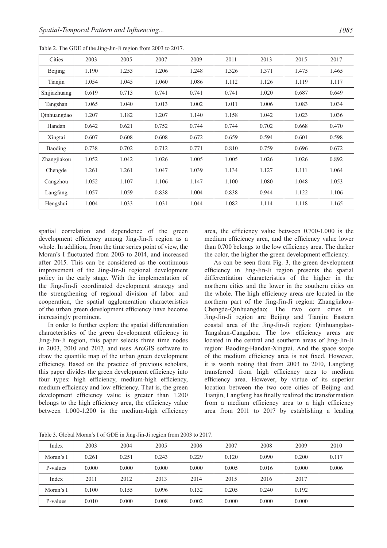| Cities       | 2003  | 2005  | 2007  | 2009  | 2011  | 2013  | 2015  | 2017  |
|--------------|-------|-------|-------|-------|-------|-------|-------|-------|
| Beijing      | 1.190 | 1.253 | 1.206 | 1.248 | 1.326 | 1.371 | 1.475 | 1.465 |
| Tianjin      | 1.054 | 1.045 | 1.060 | 1.086 | 1.112 | 1.126 | 1.119 | 1.117 |
| Shijiazhuang | 0.619 | 0.713 | 0.741 | 0.741 | 0.741 | 1.020 | 0.687 | 0.649 |
| Tangshan     | 1.065 | 1.040 | 1.013 | 1.002 | 1.011 | 1.006 | 1.083 | 1.034 |
| Qinhuangdao  | 1.207 | 1.182 | 1.207 | 1.140 | 1.158 | 1.042 | 1.023 | 1.036 |
| Handan       | 0.642 | 0.621 | 0.752 | 0.744 | 0.744 | 0.702 | 0.668 | 0.470 |
| Xingtai      | 0.607 | 0.608 | 0.608 | 0.672 | 0.659 | 0.594 | 0.601 | 0.598 |
| Baoding      | 0.738 | 0.702 | 0.712 | 0.771 | 0.810 | 0.759 | 0.696 | 0.672 |
| Zhangjiakou  | 1.052 | 1.042 | 1.026 | 1.005 | 1.005 | 1.026 | 1.026 | 0.892 |
| Chengde      | 1.261 | 1.261 | 1.047 | 1.039 | 1.134 | 1.127 | 1.111 | 1.064 |
| Cangzhou     | 1.052 | 1.107 | 1.106 | 1.147 | 1.100 | 1.080 | 1.048 | 1.053 |
| Langfang     | 1.057 | 1.059 | 0.838 | 1.004 | 0.838 | 0.944 | 1.122 | 1.106 |
| Hengshui     | 1.004 | 1.033 | 1.031 | 1.044 | 1.082 | 1.114 | 1.118 | 1.165 |

Table 2. The GDE of the Jing-Jin-Ji region from 2003 to 2017.

spatial correlation and dependence of the green development efficiency among Jing-Jin-Ji region as a whole. In addition, from the time series point of view, the Moran's I fluctuated from 2003 to 2014, and increased after 2015. This can be considered as the continuous improvement of the Jing-Jin-Ji regional development policy in the early stage. With the implementation of the Jing-Jin-Ji coordinated development strategy and the strengthening of regional division of labor and cooperation, the spatial agglomeration characteristics of the urban green development efficiency have become increasingly prominent.

In order to further explore the spatial differentiation characteristics of the green development efficiency in Jing-Jin-Ji region, this paper selects three time nodes in 2003, 2010 and 2017, and uses ArcGIS software to draw the quantile map of the urban green development efficiency. Based on the practice of previous scholars, this paper divides the green development efficiency into four types: high efficiency, medium-high efficiency, medium efficiency and low efficiency. That is, the green development efficiency value is greater than 1.200 belongs to the high efficiency area, the efficiency value between 1.000-1.200 is the medium-high efficiency area, the efficiency value between 0.700-1.000 is the medium efficiency area, and the efficiency value lower than 0.700 belongs to the low efficiency area. The darker the color, the higher the green development efficiency.

As can be seen from Fig. 3, the green development efficiency in Jing-Jin-Ji region presents the spatial differentiation characteristics of the higher in the northern cities and the lower in the southern cities on the whole. The high efficiency areas are located in the northern part of the Jing-Jin-Ji region: Zhangjiakou-Chengde-Qinhuangdao; The two core cities in Jing-Jin-Ji region are Beijing and Tianjin; Eastern coastal area of the Jing-Jin-Ji region: Qinhuangdao-Tangshan-Cangzhou. The low efficiency areas are located in the central and southern areas of Jing-Jin-Ji region: Baoding-Handan-Xingtai. And the space scope of the medium efficiency area is not fixed. However, it is worth noting that from 2003 to 2010, Langfang transferred from high efficiency area to medium efficiency area. However, by virtue of its superior location between the two core cities of Beijing and Tianjin, Langfang has finally realized the transformation from a medium efficiency area to a high efficiency area from 2011 to 2017 by establishing a leading

Table 3. Global Moran's I of GDE in Jing-Jin-Ji region from 2003 to 2017.

| Index     | 2003  | 2004  | 2005  | 2006  | 2007  | 2008  | 2009  | 2010  |
|-----------|-------|-------|-------|-------|-------|-------|-------|-------|
| Moran's I | 0.261 | 0.251 | 0.243 | 0.229 | 0.120 | 0.090 | 0.200 | 0.117 |
| P-values  | 0.000 | 0.000 | 0.000 | 0.000 | 0.005 | 0.016 | 0.000 | 0.006 |
| Index     | 2011  | 2012  | 2013  | 2014  | 2015  | 2016  | 2017  |       |
| Moran's I | 0.100 | 0.155 | 0.096 | 0.132 | 0.205 | 0.240 | 0.192 |       |
| P-values  | 0.010 | 0.000 | 0.008 | 0.002 | 0.000 | 0.000 | 0.000 |       |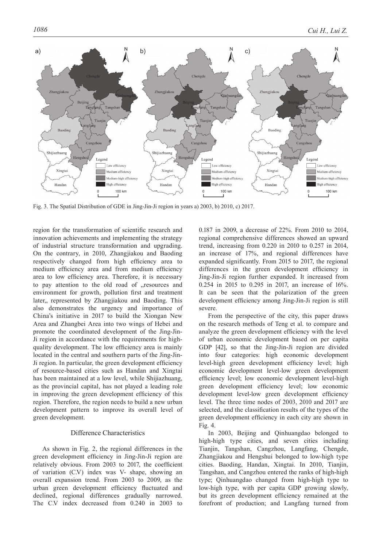

Fig. 3. The Spatial Distribution of GDE in Jing-Jin-Ji region in years a) 2003, b) 2010, c) 2017.

region for the transformation of scientific research and innovation achievements and implementing the strategy of industrial structure transformation and upgrading. On the contrary, in 2010, Zhangjiakou and Baoding respectively changed from high efficiency area to medium efficiency area and from medium efficiency area to low efficiency area. Therefore, it is necessary to pay attention to the old road of "resources and environment for growth, pollution first and treatment later,, represented by Zhangjiakou and Baoding. This also demonstrates the urgency and importance of China's initiative in 2017 to build the Xiongan New Area and Zhangbei Area into two wings of Hebei and promote the coordinated development of the Jing-Jin-Ji region in accordance with the requirements for highquality development. The low efficiency area is mainly located in the central and southern parts of the Jing-Jin-Ji region. In particular, the green development efficiency of resource-based cities such as Handan and Xingtai has been maintained at a low level, while Shijiazhuang, as the provincial capital, has not played a leading role in improving the green development efficiency of this region. Therefore, the region needs to build a new urban development pattern to improve its overall level of green development.

## Difference Characteristics

As shown in Fig. 2, the regional differences in the green development efficiency in Jing-Jin-Ji region are relatively obvious. From 2003 to 2017, the coefficient of variation (C.V) index was V- shape, showing an overall expansion trend. From 2003 to 2009, as the urban green development efficiency fluctuated and declined, regional differences gradually narrowed. The C.V index decreased from 0.240 in 2003 to 0.187 in 2009, a decrease of 22%. From 2010 to 2014, regional comprehensive differences showed an upward trend, increasing from 0.220 in 2010 to 0.257 in 2014, an increase of 17%, and regional differences have expanded significantly. From 2015 to 2017, the regional differences in the green development efficiency in Jing-Jin-Ji region further expanded. It increased from 0.254 in 2015 to 0.295 in 2017, an increase of 16%. It can be seen that the polarization of the green development efficiency among Jing-Jin-Ji region is still severe.

From the perspective of the city, this paper draws on the research methods of Teng et al. to compare and analyze the green development efficiency with the level of urban economic development based on per capita GDP [42], so that the Jing-Jin-Ji region are divided into four categories: high economic development level-high green development efficiency level; high economic development level-low green development efficiency level; low economic development level-high green development efficiency level; low economic development level-low green development efficiency level. The three time nodes of 2003, 2010 and 2017 are selected, and the classification results of the types of the green development efficiency in each city are shown in Fig. 4.

In 2003, Beijing and Qinhuangdao belonged to high-high type cities, and seven cities including Tianjin, Tangshan, Cangzhou, Langfang, Chengde, Zhangjiakou and Hengshui belonged to low-high type cities. Baoding, Handan, Xingtai. In 2010, Tianjin, Tangshan, and Cangzhou entered the ranks of high-high type; Qinhuangdao changed from high-high type to low-high type, with per capita GDP growing slowly, but its green development efficiency remained at the forefront of production; and Langfang turned from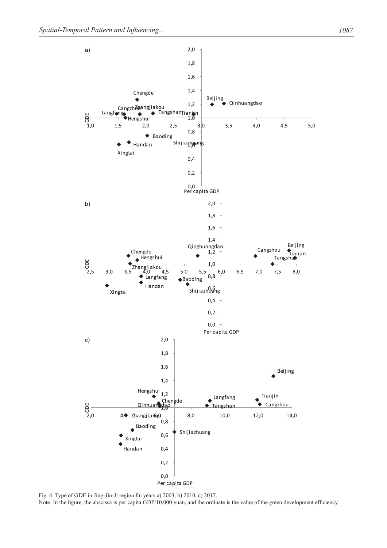

Fig. 4. Type of GDE in Jing-Jin-Ji region fin years a) 2003, b) 2010, c) 2017. Note: In the figure, the abscissa is per capita GDP/10,000 yuan, and the ordinate is the value of the green development efficiency.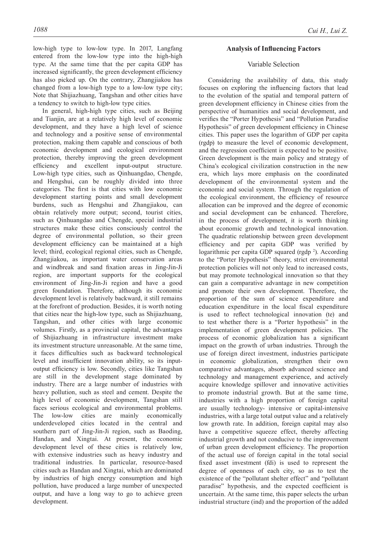low-high type to low-low type. In 2017, Langfang entered from the low-low type into the high-high type. At the same time that the per capita GDP has increased significantly, the green development efficiency has also picked up. On the contrary, Zhangjiakou has changed from a low-high type to a low-low type city; Note that Shijiazhuang, Tangshan and other cities have a tendency to switch to high-low type cities.

In general, high-high type cities, such as Beijing and Tianjin, are at a relatively high level of economic development, and they have a high level of science and technology and a positive sense of environmental protection, making them capable and conscious of both economic development and ecological environment protection, thereby improving the green development efficiency and excellent input-output structure. Low-high type cities, such as Qinhuangdao, Chengde, and Hengshui, can be roughly divided into three categories. The first is that cities with low economic development starting points and small development burdens, such as Hengshui and Zhangjiakou, can obtain relatively more output; second, tourist cities, such as Qinhuangdao and Chengde, special industrial structures make these cities consciously control the degree of environmental pollution, so their green development efficiency can be maintained at a high level; third, ecological regional cities, such as Chengde, Zhangjiakou, as important water conservation areas and windbreak and sand fixation areas in Jing-Jin-Ji region, are important supports for the ecological environment of Jing-Jin-Ji region and have a good green foundation. Therefore, although its economic development level is relatively backward, it still remains at the forefront of production. Besides, it is worth noting that cities near the high-low type, such as Shijiazhuang, Tangshan, and other cities with large economic volumes. Firstly, as a provincial capital, the advantages of Shijiazhuang in infrastructure investment make its investment structure unreasonable. At the same time, it faces difficulties such as backward technological level and insufficient innovation ability, so its inputoutput efficiency is low. Secondly, cities like Tangshan are still in the development stage dominated by industry. There are a large number of industries with heavy pollution, such as steel and cement. Despite the high level of economic development, Tangshan still faces serious ecological and environmental problems. The low-low cities are mainly economically underdeveloped cities located in the central and southern part of Jing-Jin-Ji region, such as Baoding, Handan, and Xingtai. At present, the economic development level of these cities is relatively low, with extensive industries such as heavy industry and traditional industries. In particular, resource-based cities such as Handan and Xingtai, which are dominated by industries of high energy consumption and high pollution, have produced a large number of unexpected output, and have a long way to go to achieve green development.

## **Analysis of influencing factors**

# Variable selection

Considering the availability of data, this study focuses on exploring the influencing factors that lead to the evolution of the spatial and temporal pattern of green development efficiency in Chinese cities from the perspective of humanities and social development, and verifies the "Porter Hypothesis" and "Pollution Paradise Hypothesis" of green development efficiency in Chinese cities. This paper uses the logarithm of GDP per capita (rgdp) to measure the level of economic development, and the regression coefficient is expected to be positive. Green development is the main policy and strategy of China's ecological civilization construction in the new era, which lays more emphasis on the coordinated development of the environmental system and the economic and social system. Through the regulation of the ecological environment, the efficiency of resource allocation can be improved and the degree of economic and social development can be enhanced. Therefore, in the process of development, it is worth thinking about economic growth and technological innovation. The quadratic relationship between green development efficiency and per capita GDP was verified by logarithmic per capita GDP squared (rgdp<sup>2</sup>). According to the "Porter Hypothesis" theory, strict environmental protection policies will not only lead to increased costs, but may promote technological innovation so that they can gain a comparative advantage in new competition and promote their own development. Therefore, the proportion of the sum of science expenditure and education expenditure in the local fiscal expenditure is used to reflect technological innovation (te) and to test whether there is a "Porter hypothesis" in the implementation of green development policies. The process of economic globalization has a significant impact on the growth of urban industries. Through the use of foreign direct investment, industries participate in economic globalization, strengthen their own comparative advantages, absorb advanced science and technology and management experience, and actively acquire knowledge spillover and innovative activities to promote industrial growth. But at the same time, industries with a high proportion of foreign capital are usually technology- intensive or capital-intensive industries, with a large total output value and a relatively low growth rate. In addition, foreign capital may also have a competitive squeeze effect, thereby affecting industrial growth and not conducive to the improvement of urban green development efficiency. The proportion of the actual use of foreign capital in the total social fixed asset investment (fdi) is used to represent the degree of openness of each city, so as to test the existence of the "pollutant shelter effect" and "pollutant paradise" hypothesis, and the expected coefficient is uncertain. At the same time, this paper selects the urban industrial structure (ind) and the proportion of the added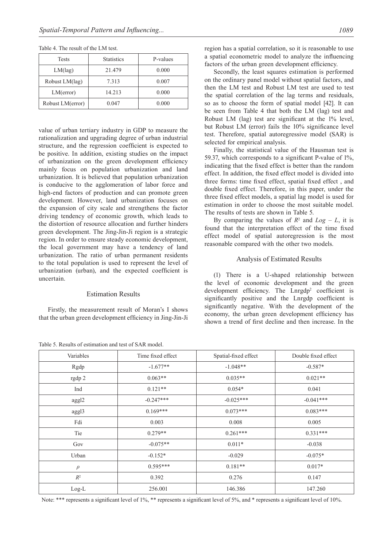| Tests            | <b>Statistics</b> | P-values |
|------------------|-------------------|----------|
| $LM(\text{lag})$ | 21.479            | 0.000    |
| Robust LM(lag)   | 7.313             | 0.007    |
| LM(error)        | 14.213            | 0.000    |
| Robust LM(error) | 0.047             | 0.000    |

Table 4. The result of the LM test.

value of urban tertiary industry in GDP to measure the rationalization and upgrading degree of urban industrial structure, and the regression coefficient is expected to be positive. In addition, existing studies on the impact of urbanization on the green development efficiency mainly focus on population urbanization and land urbanization. It is believed that population urbanization is conducive to the agglomeration of labor force and high-end factors of production and can promote green development. However, land urbanization focuses on the expansion of city scale and strengthens the factor driving tendency of economic growth, which leads to the distortion of resource allocation and further hinders green development. The Jing-Jin-Ji region is a strategic region. In order to ensure steady economic development, the local government may have a tendency of land urbanization. The ratio of urban permanent residents to the total population is used to represent the level of urbanization (urban), and the expected coefficient is uncertain.

## **Estimation Results**

Firstly, the measurement result of Moran's I shows that the urban green development efficiency in Jing-Jin-Ji

Table 5. Results of estimation and test of SAR model.

region has a spatial correlation, so it is reasonable to use a spatial econometric model to analyze the influencing factors of the urban green development efficiency.

Secondly, the least squares estimation is performed on the ordinary panel model without spatial factors, and then the LM test and Robust LM test are used to test the spatial correlation of the lag terms and residuals, so as to choose the form of spatial model [42]. It can be seen from Table 4 that both the LM (lag) test and Robust LM (lag) test are significant at the 1% level, but Robust LM (error) fails the 10% significance level test. Therefore, spatial autoregressive model (SAR) is selected for empirical analysis.

Finally, the statistical value of the Hausman test is 59.37, which corresponds to a significant P-value of 1%, indicating that the fixed effect is better than the random effect. In addition, the fixed effect model is divided into three forms: time fixed effect, spatial fixed effect , and double fixed effect. Therefore, in this paper, under the three fixed effect models, a spatial lag model is used for estimation in order to choose the most suitable model. The results of tests are shown in Table 5.

By comparing the values of  $R^2$  and  $Log - L$ , it is found that the interpretation effect of the time fixed effect model of spatial autoregression is the most reasonable compared with the other two models.

#### Analysis of Estimated Results

(1) There is a U-shaped relationship between the level of economic development and the green development efficiency. The Lnrgdp<sup>2</sup> coefficient is significantly positive and the Lnrgdp coefficient is significantly negative. With the development of the economy, the urban green development efficiency has shown a trend of first decline and then increase. In the

| Variables | Time fixed effect | Spatial-fixed effect | Double fixed effect |
|-----------|-------------------|----------------------|---------------------|
| Rgdp      | $-1.677**$        | $-1.048**$           | $-0.587*$           |
| rgdp 2    | $0.063**$         | $0.035**$            | $0.021**$           |
| Ind       | $0.121**$         | $0.054*$             | 0.041               |
| aggl2     | $-0.247***$       | $-0.025***$          | $-0.041***$         |
| aggl3     | $0.169***$        | $0.073***$           | $0.083***$          |
| Fdi       | 0.003             | 0.008                | 0.005               |
| Tie       | $0.279**$         | $0.261***$           | $0.331***$          |
| Gov       | $-0.075**$        | $0.011*$             | $-0.038$            |
| Urban     | $-0.152*$         | $-0.029$             | $-0.075*$           |
| $\rho$    | $0.595***$        | $0.181**$            | $0.017*$            |
| $R^2$     | 0.392             | 0.276                | 0.147               |
| $Log-L$   | 256.001           | 146.386              | 147.260             |

Note: \*\*\* represents a significant level of 1%, \*\* represents a significant level of 5%, and \* represents a significant level of 10%.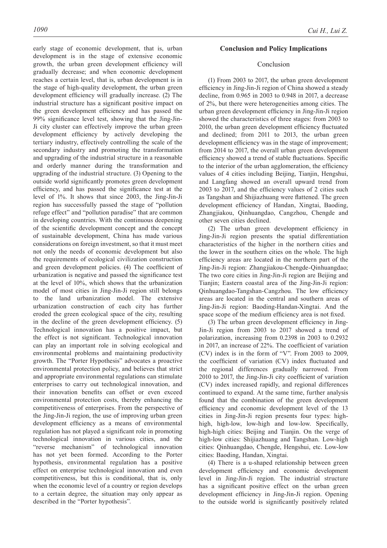early stage of economic development, that is, urban development is in the stage of extensive economic growth, the urban green development efficiency will gradually decrease; and when economic development reaches a certain level, that is, urban development is in the stage of high-quality development, the urban green development efficiency will gradually increase. (2) The industrial structure has a significant positive impact on the green development efficiency and has passed the 99% significance level test, showing that the Jing-Jin-Ji city cluster can effectively improve the urban green development efficiency by actively developing the tertiary industry, effectively controlling the scale of the secondary industry and promoting the transformation and upgrading of the industrial structure in a reasonable and orderly manner during the transformation and upgrading of the industrial structure. (3) Opening to the outside world significantly promotes green development efficiency, and has passed the significance test at the level of 1%. It shows that since 2003, the Jing-Jin-Ji region has successfully passed the stage of "pollution refuge effect" and "pollution paradise" that are common in developing countries. With the continuous deepening of the scientific development concept and the concept of sustainable development, China has made various considerations on foreign investment, so that it must meet not only the needs of economic development but also the requirements of ecological civilization construction and green development policies. (4) The coefficient of urbanization is negative and passed the significance test at the level of 10%, which shows that the urbanization model of most cities in Jing-Jin-Ji region still belongs to the land urbanization model. The extensive urbanization construction of each city has further eroded the green ecological space of the city, resulting in the decline of the green development efficiency. (5) Technological innovation has a positive impact, but the effect is not significant. Technological innovation can play an important role in solving ecological and environmental problems and maintaining productivity growth. The "Porter Hypothesis" advocates a proactive environmental protection policy, and believes that strict and appropriate environmental regulations can stimulate enterprises to carry out technological innovation, and their innovation benefits can offset or even exceed environmental protection costs, thereby enhancing the competitiveness of enterprises. From the perspective of the Jing-Jin-Ji region, the use of improving urban green development efficiency as a means of environmental regulation has not played a significant role in promoting technological innovation in various cities, and the "reverse mechanism" of technological innovation has not yet been formed. According to the Porter hypothesis, environmental regulation has a positive effect on enterprise technological innovation and even competitiveness, but this is conditional, that is, only when the economic level of a country or region develops to a certain degree, the situation may only appear as described in the "Porter hypothesis".

# **Conclusion and policy implications**

# Conclusion

(1) From 2003 to 2017, the urban green development efficiency in Jing-Jin-Ji region of China showed a steady decline, from 0.965 in 2003 to 0.948 in 2017, a decrease of 2%, but there were heterogeneities among cities. The urban green development efficiency in Jing-Jin-Ji region showed the characteristics of three stages: from 2003 to 2010, the urban green development efficiency fluctuated and declined; from 2011 to 2013, the urban green development efficiency was in the stage of improvement; from 2014 to 2017, the overall urban green development efficiency showed a trend of stable fluctuations. Specific to the interior of the urban agglomeration, the efficiency values of 4 cities including Beijing, Tianjin, Hengshui, and Langfang showed an overall upward trend from 2003 to 2017, and the efficiency values of 2 cities such as Tangshan and Shijiazhuang were flattened. The green development efficiency of Handan, Xingtai, Baoding, Zhangjiakou, Qinhuangdao, Cangzhou, Chengde and other seven cities declined.

(2) The urban green development efficiency in Jing-Jin-Ji region presents the spatial differentiation characteristics of the higher in the northern cities and the lower in the southern cities on the whole. The high efficiency areas are located in the northern part of the Jing-Jin-Ji region: Zhangjiakou-Chengde-Qinhuangdao; The two core cities in Jing-Jin-Ji region are Beijing and Tianjin; Eastern coastal area of the Jing-Jin-Ji region: Qinhuangdao-Tangshan-Cangzhou. The low efficiency areas are located in the central and southern areas of Jing-Jin-Ji region: Baoding-Handan-Xingtai. And the space scope of the medium efficiency area is not fixed.

(3) The urban green development efficiency in Jing-Jin-Ji region from 2003 to 2017 showed a trend of polarization, increasing from 0.2398 in 2003 to 0.2932 in 2017, an increase of 22%. The coefficient of variation (CV) index is in the form of "V". From 2003 to 2009, the coefficient of variation (CV) index fluctuated and the regional differences gradually narrowed. From 2010 to 2017, the Jing-Jin-Ji city coefficient of variation (CV) index increased rapidly, and regional differences continued to expand. At the same time, further analysis found that the combination of the green development efficiency and economic development level of the 13 cities in Jing-Jin-Ji region presents four types: highhigh, high-low, low-high and low-low. Specifically, high-high cities: Beijing and Tianjin. On the verge of high-low cities: Shijiazhuang and Tangshan. Low-high cities: Qinhuangdao, Chengde, Hengshui, etc. Low-low cities: Baoding, Handan, Xingtai.

(4) There is a u-shaped relationship between green development efficiency and economic development level in Jing-Jin-Ji region. The industrial structure has a significant positive effect on the urban green development efficiency in Jing-Jin-Ji region. Opening to the outside world is significantly positively related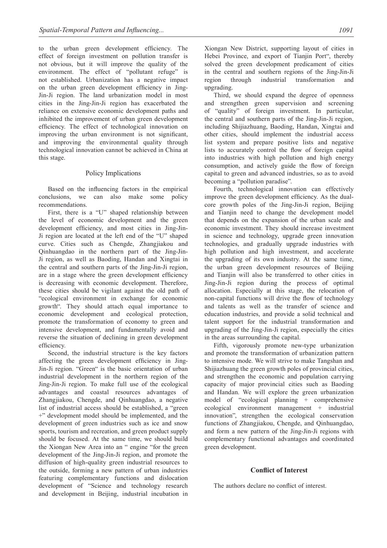to the urban green development efficiency. The effect of foreign investment on pollution transfer is not obvious, but it will improve the quality of the environment. The effect of "pollutant refuge" is not established. Urbanization has a negative impact on the urban green development efficiency in Jing-Jin-Ji region. The land urbanization model in most cities in the Jing-Jin-Ji region has exacerbated the reliance on extensive economic development paths and inhibited the improvement of urban green development efficiency. The effect of technological innovation on improving the urban environment is not significant, and improving the environmental quality through technological innovation cannot be achieved in China at this stage.

# Policy Implications

Based on the influencing factors in the empirical conclusions, we can also make some policy recommendations.

First, there is a "U" shaped relationship between the level of economic development and the green development efficiency, and most cities in Jing-Jin-Ji region are located at the left end of the "U" shaped curve. Cities such as Chengde, Zhangjiakou and Qinhuangdao in the northern part of the Jing-Jin-Ji region, as well as Baoding, Handan and Xingtai in the central and southern parts of the Jing-Jin-Ji region, are in a stage where the green development efficiency is decreasing with economic development. Therefore, these cities should be vigilant against the old path of "ecological environment in exchange for economic growth". They should attach equal importance to economic development and ecological protection, promote the transformation of economy to green and intensive development, and fundamentally avoid and reverse the situation of declining in green development efficiency.

Second, the industrial structure is the key factors affecting the green development efficiency in Jing-Jin-Ji region. "Green" is the basic orientation of urban industrial development in the northern region of the Jing-Jin-Ji region. To make full use of the ecological advantages and coastal resources advantages of Zhangjiakou, Chengde, and Qinhuangdao, a negative list of industrial access should be established, a "green +" development model should be implemented, and the development of green industries such as ice and snow sports, tourism and recreation, and green product supply should be focused. At the same time, we should build the Xiongan New Area into an " engine "for the green development of the Jing-Jin-Ji region, and promote the diffusion of high-quality green industrial resources to the outside, forming a new pattern of urban industries featuring complementary functions and dislocation development of "Science and technology research and development in Beijing, industrial incubation in Xiongan New District, supporting layout of cities in Hebei Province, and export of Tianjin Port", thereby solved the green development predicament of cities in the central and southern regions of the Jing-Jin-Ji region through industrial transformation and upgrading.

Third, we should expand the degree of openness and strengthen green supervision and screening of "quality" of foreign investment. In particular, the central and southern parts of the Jing-Jin-Ji region, including Shijiazhuang, Baoding, Handan, Xingtai and other cities, should implement the industrial access list system and prepare positive lists and negative lists to accurately control the flow of foreign capital into industries with high pollution and high energy consumption, and actively guide the flow of foreign capital to green and advanced industries, so as to avoid becoming a "pollution paradise".

Fourth, technological innovation can effectively improve the green development efficiency. As the dualcore growth poles of the Jing-Jin-Ji region, Beijing and Tianjin need to change the development model that depends on the expansion of the urban scale and economic investment. They should increase investment in science and technology, upgrade green innovation technologies, and gradually upgrade industries with high pollution and high investment, and accelerate the upgrading of its own industry. At the same time, the urban green development resources of Beijing and Tianjin will also be transferred to other cities in Jing-Jin-Ji region during the process of optimal allocation. Especially at this stage, the relocation of non-capital functions will drive the flow of technology and talents as well as the transfer of science and education industries, and provide a solid technical and talent support for the industrial transformation and upgrading of the Jing-Jin-Ji region, especially the cities in the areas surrounding the capital.

Fifth, vigorously promote new-type urbanization and promote the transformation of urbanization pattern to intensive mode. We will strive to make Tangshan and Shijiazhuang the green growth poles of provincial cities, and strengthen the economic and population carrying capacity of major provincial cities such as Baoding and Handan. We will explore the green urbanization model of "ecological planning + comprehensive ecological environment management + industrial innovation", strengthen the ecological conservation functions of Zhangjiakou, Chengde, and Qinhuangdao, and form a new pattern of the Jing-Jin-Ji regions with complementary functional advantages and coordinated green development.

# **Conflict of Interest**

The authors declare no conflict of interest.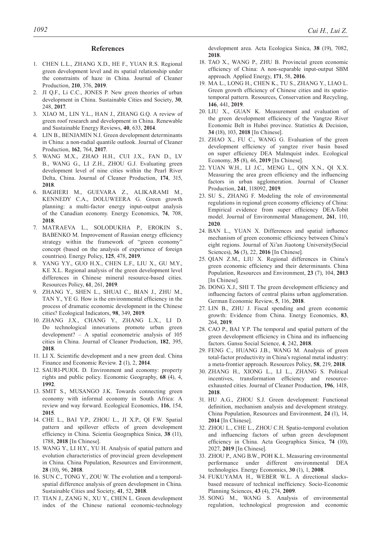#### **References**

- 1. CHEN L.L., ZHANG X.D., HE F., YUAN R.S. Regional green development level and its spatial relationship under the constraints of haze in China. Journal of Cleaner Production, **210**, 376, **2019**.
- 2. JI Q.F., Li C.C., JONES P. New green theories of urban development in China. Sustainable Cities and Society, **30**, 248, **2017**.
- 3. XIAO M., LIN Y.L., HAN J., ZHANG G.Q. A review of green roof research and development in China. Renewable and Sustainable Energy Reviews, **40**, 633, **2014**.
- 4. LIN B., BENJAMIN N.I. Green development determinants in China: a non-radial quantile outlook. Journal of Cleaner Production, **162**, 764, **2017**.
- 5. WANG M.X., ZHAO H.H., CUI J.X., FAN D., LV B., WANG G., LI Z.H., ZHOU G.J. Evaluating green development level of nine cities within the Pearl River Delta, China. Journal of Cleaner Production, **174**, 315, **2018**.
- 6. BAGHERI M., GUEVARA Z., ALIKARAMI M., KENNEDY C.A., DOLUWEERA G. Green growth planning: a multi-factor energy input-output analysis of the Canadian economy. Energy Economics, **74**, 708, **2018**.
- 7. MATRAEVA L., SOLODUKHA P., EROKIN S., BABENKO M. Improvement of Russian energy efficiency strategy within the framework of "green economy" concept (based on the analysis of experience of foreign countries). Energy Policy, **125**, 478, **2019**.
- 8. YANG Y.Y., GUO H.X., CHEN L.F., LIU X., GU M.Y., KE X.L. Regional analysis of the green development level differences in Chinese mineral resource-based cities. Resources Policy, **61**, 261, **2019**.
- 9. ZHANG Y., SHEN L., SHUAI C., BIAN J., ZHU M., TAN Y., YE G. How is the environmental efficiency in the process of dramatic economic development in the Chinese cities? Ecological Indicators, **98**, 349, **2019**.
- 10. ZHANG J.X., CHANG Y., ZHANG L.X., LI D. Do technological innovations promote urban green development? – A spatial econometric analysis of 105 cities in China. Journal of Cleaner Production, **182**, 395, **2018**.
- 11. LI X. Scientific development and a new green deal. China Finance and Economic Review. **2** (1), 2, **2014**.
- 12. SAURI-PUJOL D. Environment and economy: property rights and public policy. Economic Geography, **68** (4), 4, **1992**.
- 13. SMIT S., MUSANGO J.K. Towards connecting green economy with informal economy in South Africa: A review and way forward. Ecological Economics, **116**, 154, **2015**.
- 14. CHE L., BAI Y.P., ZHOU L., JI X.P., QI F.W. Spatial pattern and spillover effects of green development efficiency in China. Scientia Geographica Sinica, **38** (11), 1788, **2018** [In Chinese].
- 15. WANG Y., LI H.Y., YU H. Analysis of spatial pattern and evolution characteristics of provincial green development in China. China Population, Resources and Environment, **28** (10), 96, **2018**.
- 16. SUN C., TONG Y., ZOU W. The evolution and a temporalspatial difference analysis of green development in China. Sustainable Cities and Society, **41**, 52, **2018**.
- 17. TIAN J., ZANG N., XU Y., CHEN L. Green development index of the Chinese national economic-technology

development area. Acta Ecologica Sinica, **38** (19), 7082, **2018**.

- 18. TAO X., WANG P., ZHU B. Provincial green economic efficiency of China: A non-separable input-output SBM approach. Applied Energy, **171**, 58, **2016**.
- 19. MA L., LONG H., CHEN K., TU S., ZHANG Y., LIAO L. Green growth efficiency of Chinese cities and its spatiotemporal pattern. Resources, Conservation and Recycling, **146**, 441, **2019**.
- 20. LIU X., GUAN K. Measurement and evaluation of the green development efficiency of the Yangtze River Economic Belt in Hubei province. Statistics & Decision, **34** (18), 103, **2018** [In Chinese].
- 21. ZHAO X., FU C., WANG G. Evaluation of the green development efficiency of yangtze river basin based on super efficiency DEA Malmquist index. Ecological Economy, **35** (8), 46, **2019** [In Chinese].
- 22. YUAN W.H., LI J.C., MENG L., QIN X.N., QI X.X. Measuring the area green efficiency and the influencing factors in urban agglomeration. Journal of Cleaner Production, **241**, 118092, **2019**.
- 23. SU S., ZHANG F. Modeling the role of environmental regulations in regional green economy efficiency of China: Empirical evidence from super efficiency DEA-Tobit model. Journal of Environmental Management, **261**, 110, **2020**.
- 24. BAN L., YUAN X. Differences and spatial influence mechanism of green economic efficiency between China's eight regions. Journal of Xi'an Jiaotong University(Social Sciences), **36** (3), 22, **2016** [In Chinese].
- 25. QIAN Z.M., LIU X. Regional differences in China's green economic efficiency and their determinants. China Population, Resources and Environment, **23** (7), 104, **2013**  [In Chinese].
- 26. DONG X.J., SHI T. The green development efficiency and influencing factors of central plains urban agglomeration. German Economic Review, **5**, 116, **2018**.
- 27. LIN B., ZHU J. Fiscal spending and green economic growth: Evidence from China. Energy Economics, **83**, 264, **2019**.
- 28. CAO P., BAI Y.P. The temporal and spatial pattern of the green development efficiency in China and its influencing factors. Gansu Social Science, **4**, 242, **2018**.
- 29. FENG C., HUANG J.B., WANG M. Analysis of green total-factor productivity in China's regional metal industry: a meta-frontier approach. Resources Policy, **58**, 219, **2018**.
- 30. ZHANG H., XIONG L., LI L., ZHANG S. Political incentives, transformation efficiency and resourceexhausted cities. Journal of Cleaner Production, **196**, 1418, **2018**.
- 31. HU A.G., ZHOU S.J. Green development: Functional definition, mechanism analysis and development strategy. China Population, Resources and Environment, **24** (1), 14, **2014** [In Chinese].
- 32. ZHOU L., CHE L., ZHOU C.H. Spatio-temporal evolution and influencing factors of urban green development efficiency in China. Acta Geographica Sinica, **74** (10), 2027, **2019** [In Chinese].
- 33. ZHOU P., ANG B.W., POH K.L. Measuring environmental performance under different environmental DEA technologies. Energy Economics, **30** (1), 1, **2008**.
- 34. FUKUYAMA H., WEBER W.L. A directional slacksbased measure of technical inefficiency. Socio-Economic Planning Sciences, **43** (4), 274, **2009**.
- 35. SONG M., WANG S. Analysis of environmental regulation, technological progression and economic